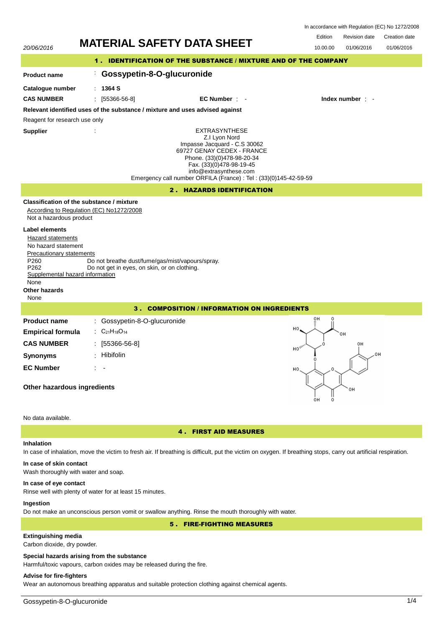In accordance with Regulation (EC) No 1272/2008

Revision date



In case of inhalation, move the victim to fresh air. If breathing is difficult, put the victim on oxygen. If breathing stops, carry out artificial respiration.

# **In case of skin contact**

Wash thoroughly with water and soap.

## **In case of eye contact**

Rinse well with plenty of water for at least 15 minutes.

## **Ingestion**

Do not make an unconscious person vomit or swallow anything. Rinse the mouth thoroughly with water.

5 . FIRE-FIGHTING MEASURES

## **Extinguishing media**

Carbon dioxide, dry powder.

## **Special hazards arising from the substance**

Harmful/toxic vapours, carbon oxides may be released during the fire.

## **Advise for fire-fighters**

Wear an autonomous breathing apparatus and suitable protection clothing against chemical agents.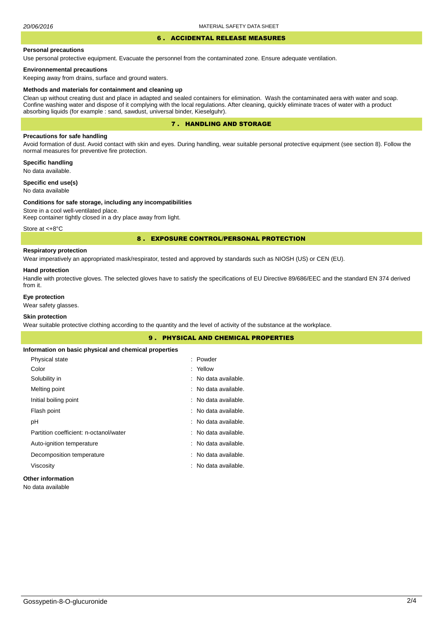## 6 . ACCIDENTAL RELEASE MEASURES

#### **Personal precautions**

Use personal protective equipment. Evacuate the personnel from the contaminated zone. Ensure adequate ventilation.

#### **Environnemental precautions**

Keeping away from drains, surface and ground waters.

#### **Methods and materials for containment and cleaning up**

Clean up without creating dust and place in adapted and sealed containers for elimination. Wash the contaminated aera with water and soap. Confine washing water and dispose of it complying with the local regulations. After cleaning, quickly eliminate traces of water with a product absorbing liquids (for example : sand, sawdust, universal binder, Kieselguhr).

### 7 . HANDLING AND STORAGE

#### **Precautions for safe handling**

Avoid formation of dust. Avoid contact with skin and eyes. During handling, wear suitable personal protective equipment (see section 8). Follow the normal measures for preventive fire protection.

**Specific handling** No data available.

**Specific end use(s)**

## No data available

#### **Conditions for safe storage, including any incompatibilities**

Store in a cool well-ventilated place. Keep container tightly closed in a dry place away from light.

Store at <+8°C

#### 8 . EXPOSURE CONTROL/PERSONAL PROTECTION

#### **Respiratory protection**

Wear imperatively an appropriated mask/respirator, tested and approved by standards such as NIOSH (US) or CEN (EU).

#### **Hand protection**

Handle with protective gloves. The selected gloves have to satisfy the specifications of EU Directive 89/686/EEC and the standard EN 374 derived from it.

#### **Eye protection**

Wear safety glasses.

#### **Skin protection**

Wear suitable protective clothing according to the quantity and the level of activity of the substance at the workplace.

| <b>9. PHYSICAL AND CHEMICAL PROPERTIES</b>            |                      |  |
|-------------------------------------------------------|----------------------|--|
| Information on basic physical and chemical properties |                      |  |
| Physical state                                        | : Powder             |  |
| Color                                                 | : Yellow             |  |
| Solubility in                                         | : No data available. |  |
| Melting point                                         | : No data available. |  |
| Initial boiling point                                 | : No data available. |  |
| Flash point                                           | : No data available. |  |
| рH                                                    | : No data available. |  |
| Partition coefficient: n-octanol/water                | : No data available. |  |
| Auto-ignition temperature                             | : No data available. |  |
| Decomposition temperature                             | : No data available. |  |
| Viscosity                                             | : No data available. |  |
|                                                       |                      |  |

## **Other information**

No data available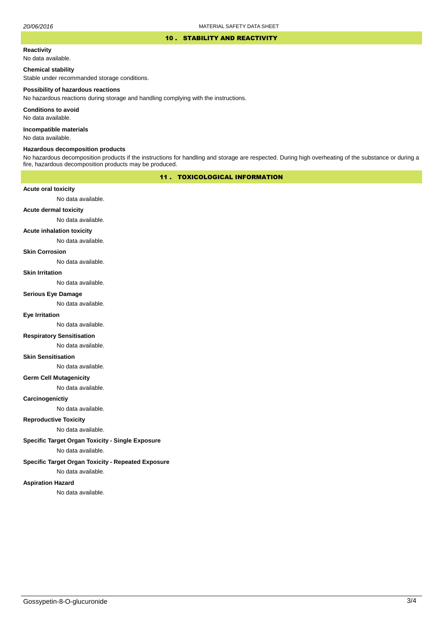#### 10 . STABILITY AND REACTIVITY

#### **Reactivity**

No data available.

#### **Chemical stability**

Stable under recommanded storage conditions.

#### **Possibility of hazardous reactions**

No hazardous reactions during storage and handling complying with the instructions.

**Conditions to avoid**

No data available.

**Incompatible materials**

No data available.

#### **Hazardous decomposition products**

No hazardous decomposition products if the instructions for handling and storage are respected. During high overheating of the substance or during a fire, hazardous decomposition products may be produced.

## 11 . TOXICOLOGICAL INFORMATION

#### **Acute oral toxicity**

No data available.

## **Acute dermal toxicity**

No data available.

#### **Acute inhalation toxicity**

No data available.

#### **Skin Corrosion**

No data available.

#### **Skin Irritation**

No data available.

#### **Serious Eye Damage**

No data available.

### **Eye Irritation**

No data available.

#### **Respiratory Sensitisation**

No data available.

#### **Skin Sensitisation**

No data available.

#### **Germ Cell Mutagenicity**

No data available.

#### **Carcinogenictiy**

No data available.

## **Reproductive Toxicity**

No data available.

## **Specific Target Organ Toxicity - Single Exposure**

No data available.

#### **Specific Target Organ Toxicity - Repeated Exposure**

No data available.

#### **Aspiration Hazard**

No data available.